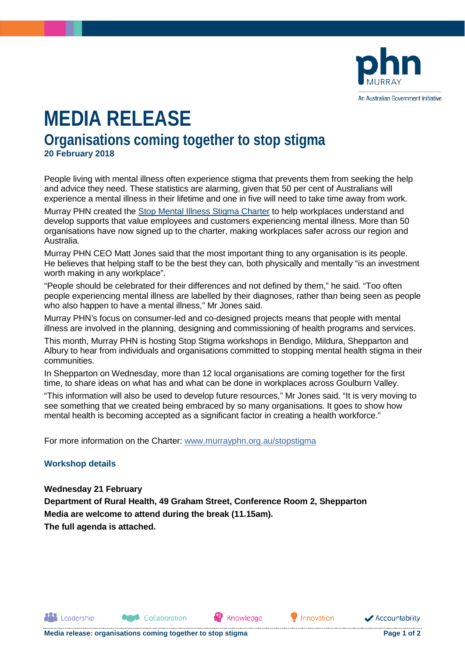

## **MEDIA RELEASE Organisations coming together to stop stigma 20 February 2018**

People living with mental illness often experience stigma that prevents them from seeking the help and advice they need. These statistics are alarming, given that 50 per cent of Australians will experience a mental illness in their lifetime and one in five will need to take time away from work.

Murray PHN created the [Stop Mental Illness Stigma Charter](http://www.murrayphn.org.au/stopstigma) to help workplaces understand and develop supports that value employees and customers experiencing mental illness. More than 50 organisations have now signed up to the charter, making workplaces safer across our region and Australia.

Murray PHN CEO Matt Jones said that the most important thing to any organisation is its people. He believes that helping staff to be the best they can, both physically and mentally "is an investment worth making in any workplace".

"People should be celebrated for their differences and not defined by them," he said. "Too often people experiencing mental illness are labelled by their diagnoses, rather than being seen as people who also happen to have a mental illness," Mr Jones said.

Murray PHN's focus on consumer-led and co-designed projects means that people with mental illness are involved in the planning, designing and commissioning of health programs and services.

This month, Murray PHN is hosting Stop Stigma workshops in Bendigo, Mildura, Shepparton and Albury to hear from individuals and organisations committed to stopping mental health stigma in their communities.

In Shepparton on Wednesday, more than 12 local organisations are coming together for the first time, to share ideas on what has and what can be done in workplaces across Goulburn Valley.

"This information will also be used to develop future resources," Mr Jones said. "It is very moving to see something that we created being embraced by so many organisations. It goes to show how mental health is becoming accepted as a significant factor in creating a health workforce."

Knowledge

For more information on the Charter: [www.murrayphn.org.au/stopstigma](http://www.murrayphn.org.au/stopstigma)

## **Workshop details**

**All** Leadership

**Wednesday 21 February Department of Rural Health, 49 Graham Street, Conference Room 2, Shepparton Media are welcome to attend during the break (11.15am). The full agenda is attached.**

Collaboration